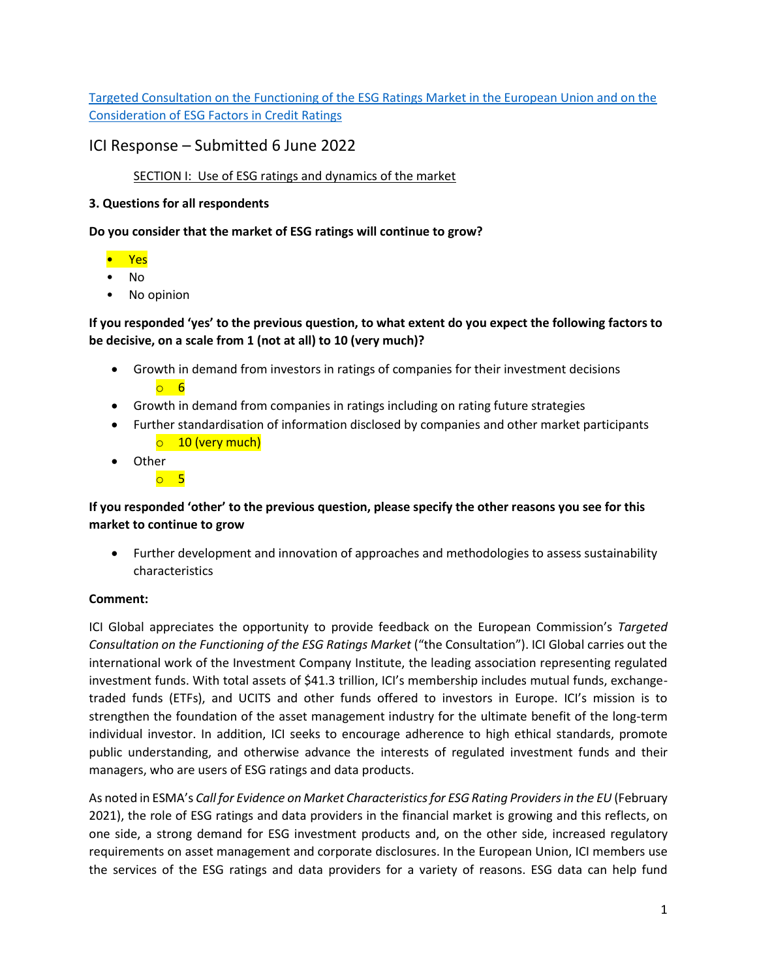[Targeted Consultation on the Functioning of the ESG Ratings Market in the European Union and on the](https://ec.europa.eu/info/sites/default/files/business_economy_euro/banking_and_finance/documents/2022-esg-ratings-consultation-document_en.pdf) [Consideration of ESG Factors in Credit Ratings](https://ec.europa.eu/info/sites/default/files/business_economy_euro/banking_and_finance/documents/2022-esg-ratings-consultation-document_en.pdf)

# ICI Response – Submitted 6 June 2022

## SECTION I: Use of ESG ratings and dynamics of the market

### **3. Questions for all respondents**

**Do you consider that the market of ESG ratings will continue to grow?**

### • Yes

- No
- No opinion

## **If you responded 'yes' to the previous question, to what extent do you expect the following factors to be decisive, on a scale from 1 (not at all) to 10 (very much)?**

- Growth in demand from investors in ratings of companies for their investment decisions o 6
- Growth in demand from companies in ratings including on rating future strategies
- Further standardisation of information disclosed by companies and other market participants o 10 (very much)
- Other
	- o 5

## **If you responded 'other' to the previous question, please specify the other reasons you see for this market to continue to grow**

• Further development and innovation of approaches and methodologies to assess sustainability characteristics

## **Comment:**

ICI Global appreciates the opportunity to provide feedback on the European Commission's *Targeted Consultation on the Functioning of the ESG Ratings Market* ("the Consultation"). ICI Global carries out the international work of the Investment Company Institute, the leading association representing regulated investment funds. With total assets of \$41.3 trillion, ICI's membership includes mutual funds, exchangetraded funds (ETFs), and UCITS and other funds offered to investors in Europe. ICI's mission is to strengthen the foundation of the asset management industry for the ultimate benefit of the long-term individual investor. In addition, ICI seeks to encourage adherence to high ethical standards, promote public understanding, and otherwise advance the interests of regulated investment funds and their managers, who are users of ESG ratings and data products.

As noted in ESMA's *Call for Evidence on Market Characteristics for ESG Rating Providers in the EU* (February 2021), the role of ESG ratings and data providers in the financial market is growing and this reflects, on one side, a strong demand for ESG investment products and, on the other side, increased regulatory requirements on asset management and corporate disclosures. In the European Union, ICI members use the services of the ESG ratings and data providers for a variety of reasons. ESG data can help fund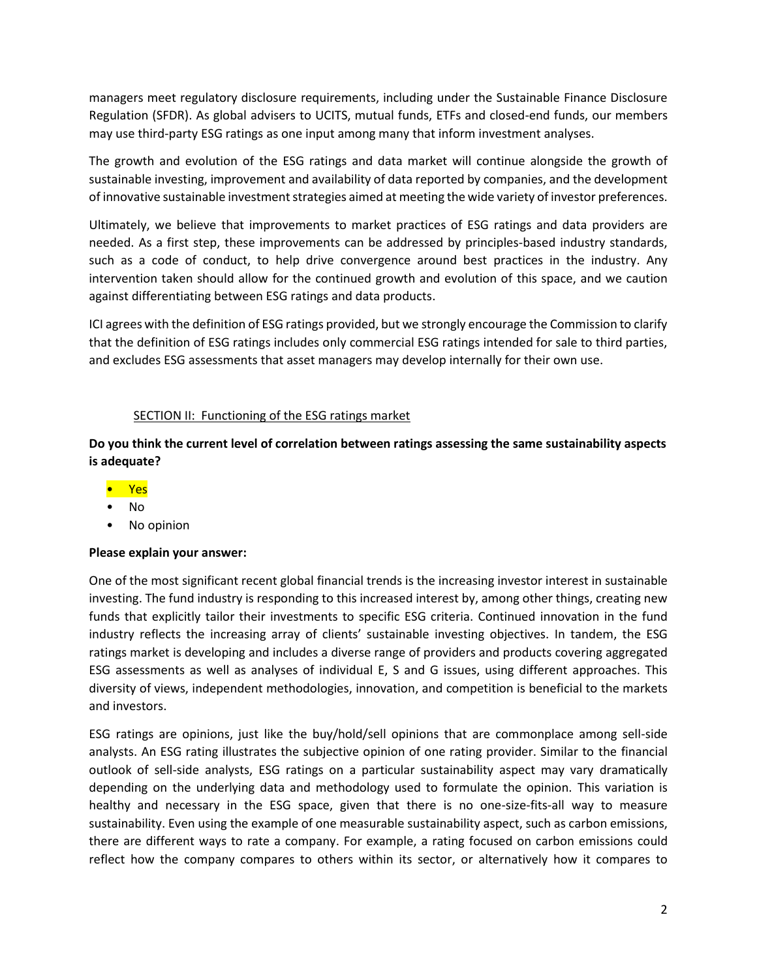managers meet regulatory disclosure requirements, including under the Sustainable Finance Disclosure Regulation (SFDR). As global advisers to UCITS, mutual funds, ETFs and closed-end funds, our members may use third-party ESG ratings as one input among many that inform investment analyses.

The growth and evolution of the ESG ratings and data market will continue alongside the growth of sustainable investing, improvement and availability of data reported by companies, and the development of innovative sustainable investment strategies aimed at meeting the wide variety of investor preferences.

Ultimately, we believe that improvements to market practices of ESG ratings and data providers are needed. As a first step, these improvements can be addressed by principles-based industry standards, such as a code of conduct, to help drive convergence around best practices in the industry. Any intervention taken should allow for the continued growth and evolution of this space, and we caution against differentiating between ESG ratings and data products.

ICI agrees with the definition of ESG ratings provided, but we strongly encourage the Commission to clarify that the definition of ESG ratings includes only commercial ESG ratings intended for sale to third parties, and excludes ESG assessments that asset managers may develop internally for their own use.

## SECTION II: Functioning of the ESG ratings market

**Do you think the current level of correlation between ratings assessing the same sustainability aspects is adequate?**

- Yes
- No
- No opinion

#### **Please explain your answer:**

One of the most significant recent global financial trends is the increasing investor interest in sustainable investing. The fund industry is responding to this increased interest by, among other things, creating new funds that explicitly tailor their investments to specific ESG criteria. Continued innovation in the fund industry reflects the increasing array of clients' sustainable investing objectives. In tandem, the ESG ratings market is developing and includes a diverse range of providers and products covering aggregated ESG assessments as well as analyses of individual E, S and G issues, using different approaches. This diversity of views, independent methodologies, innovation, and competition is beneficial to the markets and investors.

ESG ratings are opinions, just like the buy/hold/sell opinions that are commonplace among sell-side analysts. An ESG rating illustrates the subjective opinion of one rating provider. Similar to the financial outlook of sell-side analysts, ESG ratings on a particular sustainability aspect may vary dramatically depending on the underlying data and methodology used to formulate the opinion. This variation is healthy and necessary in the ESG space, given that there is no one-size-fits-all way to measure sustainability. Even using the example of one measurable sustainability aspect, such as carbon emissions, there are different ways to rate a company. For example, a rating focused on carbon emissions could reflect how the company compares to others within its sector, or alternatively how it compares to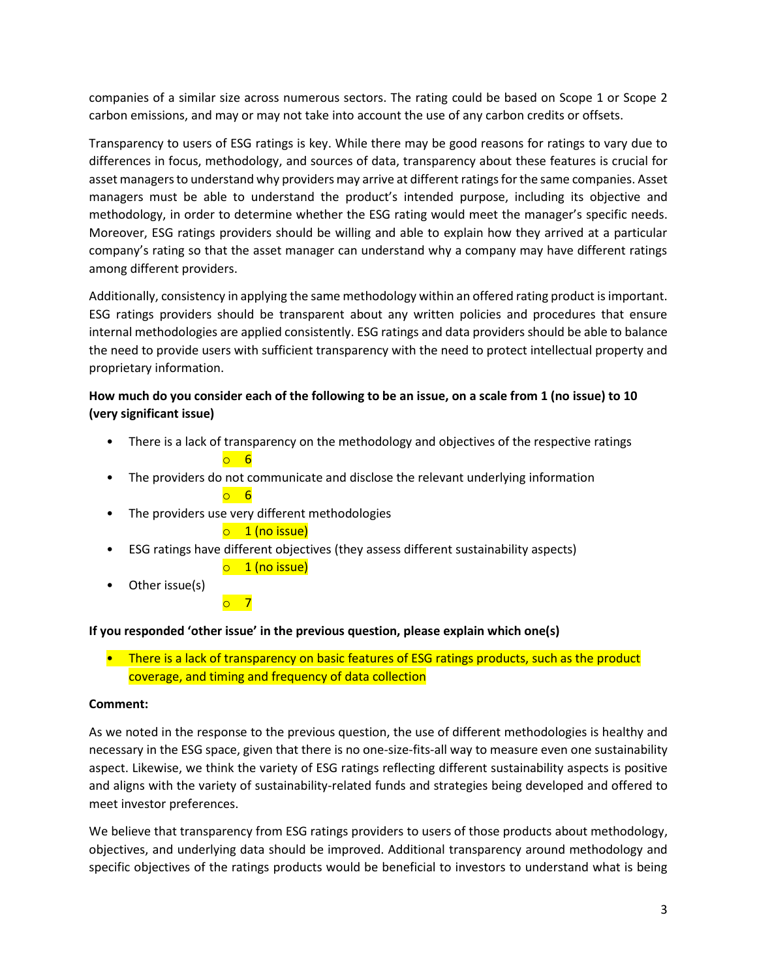companies of a similar size across numerous sectors. The rating could be based on Scope 1 or Scope 2 carbon emissions, and may or may not take into account the use of any carbon credits or offsets.

Transparency to users of ESG ratings is key. While there may be good reasons for ratings to vary due to differences in focus, methodology, and sources of data, transparency about these features is crucial for asset managers to understand why providers may arrive at different ratings for the same companies. Asset managers must be able to understand the product's intended purpose, including its objective and methodology, in order to determine whether the ESG rating would meet the manager's specific needs. Moreover, ESG ratings providers should be willing and able to explain how they arrived at a particular company's rating so that the asset manager can understand why a company may have different ratings among different providers.

Additionally, consistency in applying the same methodology within an offered rating product is important. ESG ratings providers should be transparent about any written policies and procedures that ensure internal methodologies are applied consistently. ESG ratings and data providers should be able to balance the need to provide users with sufficient transparency with the need to protect intellectual property and proprietary information.

## **How much do you consider each of the following to be an issue, on a scale from 1 (no issue) to 10 (very significant issue)**

- There is a lack of transparency on the methodology and objectives of the respective ratings  $\circ$  6
- The providers do not communicate and disclose the relevant underlying information o 6
- The providers use very different methodologies

 $\overline{\phantom{0}}$ 

## $\circ$  1 (no issue)

- ESG ratings have different objectives (they assess different sustainability aspects)
	- $\circ$  1 (no issue)
- Other issue(s)

## **If you responded 'other issue' in the previous question, please explain which one(s)**

• There is a lack of transparency on basic features of ESG ratings products, such as the product coverage, and timing and frequency of data collection

#### **Comment:**

As we noted in the response to the previous question, the use of different methodologies is healthy and necessary in the ESG space, given that there is no one-size-fits-all way to measure even one sustainability aspect. Likewise, we think the variety of ESG ratings reflecting different sustainability aspects is positive and aligns with the variety of sustainability-related funds and strategies being developed and offered to meet investor preferences.

We believe that transparency from ESG ratings providers to users of those products about methodology, objectives, and underlying data should be improved. Additional transparency around methodology and specific objectives of the ratings products would be beneficial to investors to understand what is being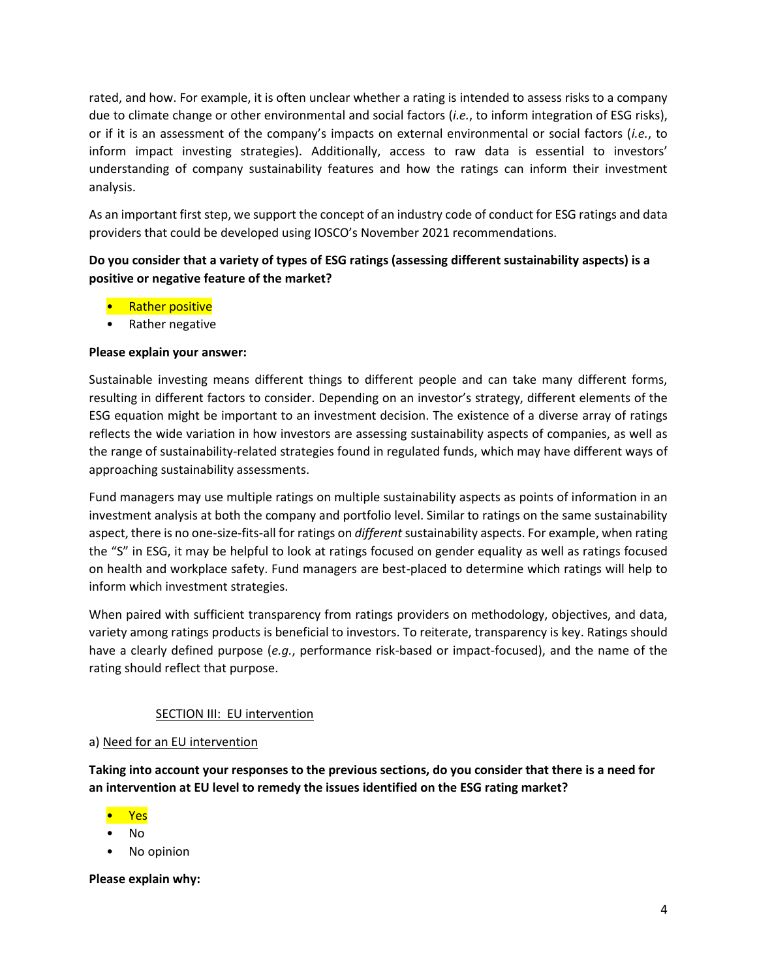rated, and how. For example, it is often unclear whether a rating is intended to assess risks to a company due to climate change or other environmental and social factors (*i.e.*, to inform integration of ESG risks), or if it is an assessment of the company's impacts on external environmental or social factors (*i.e.*, to inform impact investing strategies). Additionally, access to raw data is essential to investors' understanding of company sustainability features and how the ratings can inform their investment analysis.

As an important first step, we support the concept of an industry code of conduct for ESG ratings and data providers that could be developed using IOSCO's November 2021 recommendations.

## **Do you consider that a variety of types of ESG ratings (assessing different sustainability aspects) is a positive or negative feature of the market?**

- **Rather positive**
- Rather negative

### **Please explain your answer:**

Sustainable investing means different things to different people and can take many different forms, resulting in different factors to consider. Depending on an investor's strategy, different elements of the ESG equation might be important to an investment decision. The existence of a diverse array of ratings reflects the wide variation in how investors are assessing sustainability aspects of companies, as well as the range of sustainability-related strategies found in regulated funds, which may have different ways of approaching sustainability assessments.

Fund managers may use multiple ratings on multiple sustainability aspects as points of information in an investment analysis at both the company and portfolio level. Similar to ratings on the same sustainability aspect, there is no one-size-fits-all for ratings on *different*sustainability aspects. For example, when rating the "S" in ESG, it may be helpful to look at ratings focused on gender equality as well as ratings focused on health and workplace safety. Fund managers are best-placed to determine which ratings will help to inform which investment strategies.

When paired with sufficient transparency from ratings providers on methodology, objectives, and data, variety among ratings products is beneficial to investors. To reiterate, transparency is key. Ratings should have a clearly defined purpose (*e.g.*, performance risk-based or impact-focused), and the name of the rating should reflect that purpose.

## SECTION III: EU intervention

#### a) Need for an EU intervention

**Taking into account your responses to the previous sections, do you consider that there is a need for an intervention at EU level to remedy the issues identified on the ESG rating market?**

- Yes
- No
- No opinion

**Please explain why:**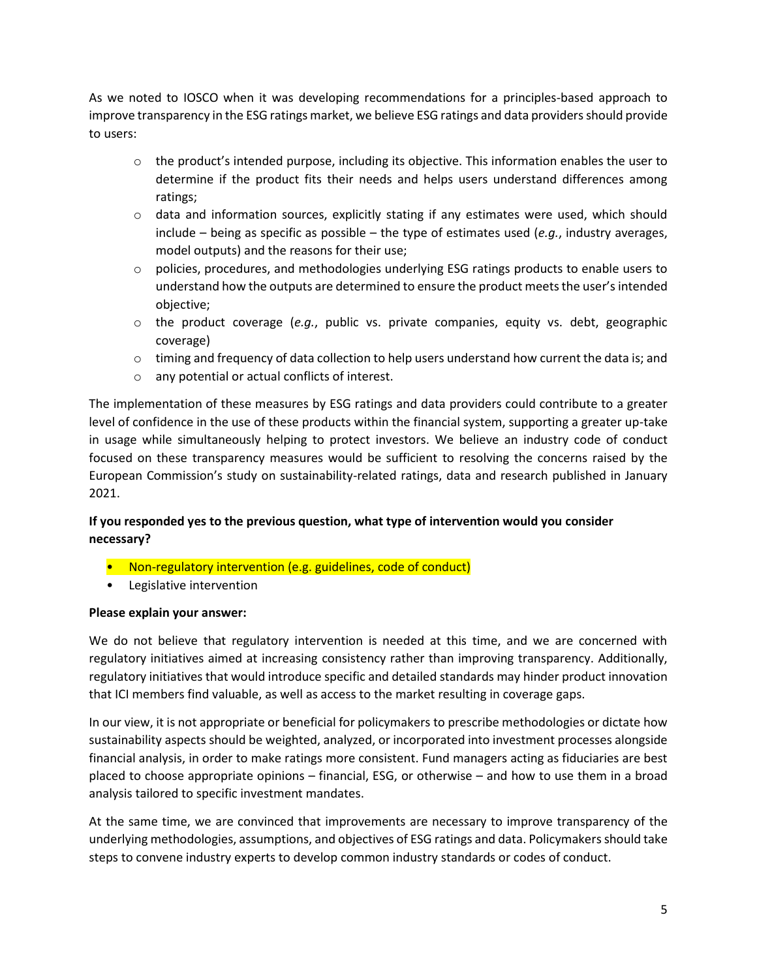As we noted to IOSCO when it was developing recommendations for a principles-based approach to improve transparency in the ESG ratings market, we believe ESG ratings and data providers should provide to users:

- $\circ$  the product's intended purpose, including its objective. This information enables the user to determine if the product fits their needs and helps users understand differences among ratings;
- $\circ$  data and information sources, explicitly stating if any estimates were used, which should include – being as specific as possible – the type of estimates used (*e.g.*, industry averages, model outputs) and the reasons for their use;
- $\circ$  policies, procedures, and methodologies underlying ESG ratings products to enable users to understand how the outputs are determined to ensure the product meets the user's intended objective;
- o the product coverage (*e.g.*, public vs. private companies, equity vs. debt, geographic coverage)
- $\circ$  timing and frequency of data collection to help users understand how current the data is; and
- o any potential or actual conflicts of interest.

The implementation of these measures by ESG ratings and data providers could contribute to a greater level of confidence in the use of these products within the financial system, supporting a greater up-take in usage while simultaneously helping to protect investors. We believe an industry code of conduct focused on these transparency measures would be sufficient to resolving the concerns raised by the European Commission's study on sustainability-related ratings, data and research published in January 2021.

## **If you responded yes to the previous question, what type of intervention would you consider necessary?**

- Non-regulatory intervention (e.g. guidelines, code of conduct)
- Legislative intervention

#### **Please explain your answer:**

We do not believe that regulatory intervention is needed at this time, and we are concerned with regulatory initiatives aimed at increasing consistency rather than improving transparency. Additionally, regulatory initiatives that would introduce specific and detailed standards may hinder product innovation that ICI members find valuable, as well as access to the market resulting in coverage gaps.

In our view, it is not appropriate or beneficial for policymakers to prescribe methodologies or dictate how sustainability aspects should be weighted, analyzed, or incorporated into investment processes alongside financial analysis, in order to make ratings more consistent. Fund managers acting as fiduciaries are best placed to choose appropriate opinions – financial, ESG, or otherwise – and how to use them in a broad analysis tailored to specific investment mandates.

At the same time, we are convinced that improvements are necessary to improve transparency of the underlying methodologies, assumptions, and objectives of ESG ratings and data. Policymakers should take steps to convene industry experts to develop common industry standards or codes of conduct.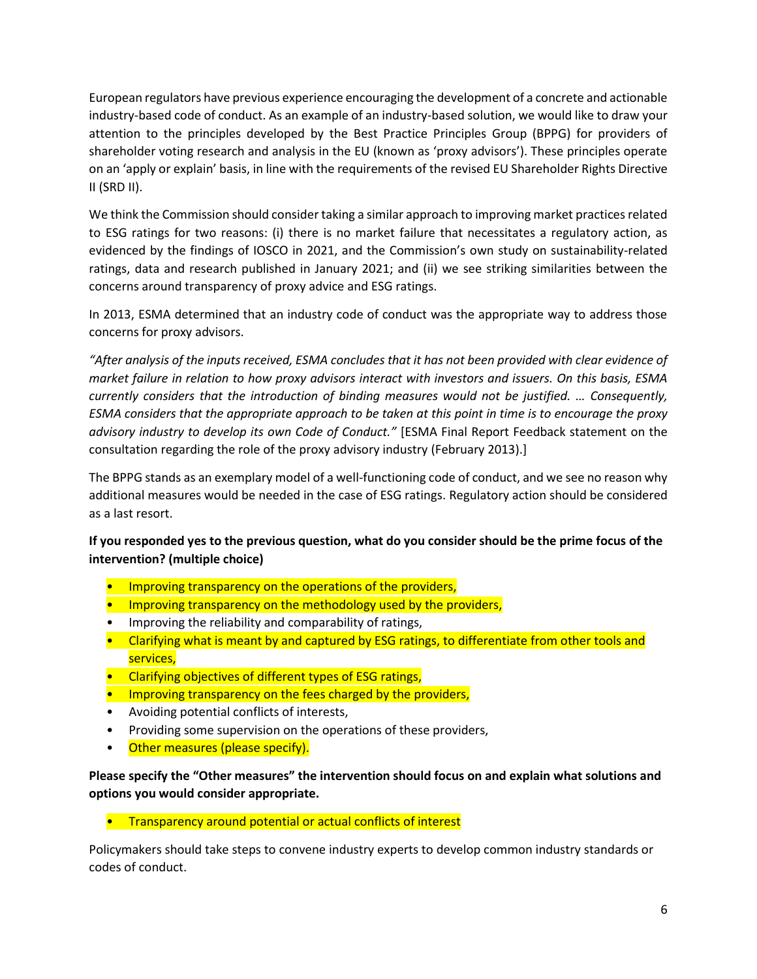European regulators have previous experience encouraging the development of a concrete and actionable industry-based code of conduct. As an example of an industry-based solution, we would like to draw your attention to the principles developed by the Best Practice Principles Group (BPPG) for providers of shareholder voting research and analysis in the EU (known as 'proxy advisors'). These principles operate on an 'apply or explain' basis, in line with the requirements of the revised EU Shareholder Rights Directive II (SRD II).

We think the Commission should consider taking a similar approach to improving market practices related to ESG ratings for two reasons: (i) there is no market failure that necessitates a regulatory action, as evidenced by the findings of IOSCO in 2021, and the Commission's own study on sustainability-related ratings, data and research published in January 2021; and (ii) we see striking similarities between the concerns around transparency of proxy advice and ESG ratings.

In 2013, ESMA determined that an industry code of conduct was the appropriate way to address those concerns for proxy advisors.

*"After analysis of the inputs received, ESMA concludes that it has not been provided with clear evidence of market failure in relation to how proxy advisors interact with investors and issuers. On this basis, ESMA currently considers that the introduction of binding measures would not be justified. … Consequently, ESMA considers that the appropriate approach to be taken at this point in time is to encourage the proxy advisory industry to develop its own Code of Conduct."* [ESMA Final Report Feedback statement on the consultation regarding the role of the proxy advisory industry (February 2013).]

The BPPG stands as an exemplary model of a well-functioning code of conduct, and we see no reason why additional measures would be needed in the case of ESG ratings. Regulatory action should be considered as a last resort.

## **If you responded yes to the previous question, what do you consider should be the prime focus of the intervention? (multiple choice)**

- Improving transparency on the operations of the providers,
- **Improving transparency on the methodology used by the providers,**
- Improving the reliability and comparability of ratings,
- Clarifying what is meant by and captured by ESG ratings, to differentiate from other tools and services,
- Clarifying objectives of different types of ESG ratings,
- Improving transparency on the fees charged by the providers,
- Avoiding potential conflicts of interests,
- Providing some supervision on the operations of these providers,
- Other measures (please specify).

## **Please specify the "Other measures" the intervention should focus on and explain what solutions and options you would consider appropriate.**

• Transparency around potential or actual conflicts of interest

Policymakers should take steps to convene industry experts to develop common industry standards or codes of conduct.